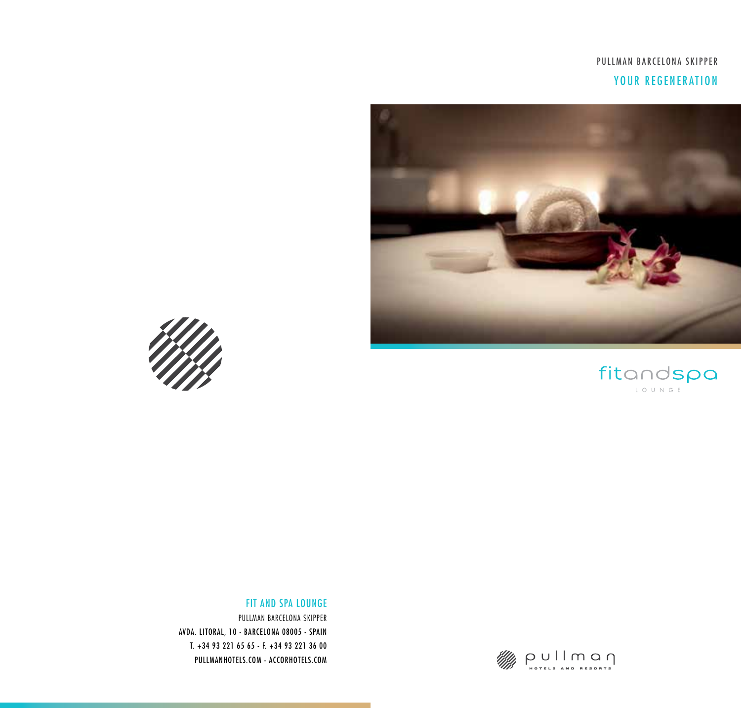# PULLMAN BARCELONA SKIPPER YOUR REGENERATION









### FIT AND SPA LOUNGE

PULLMAN BARCELONA SKIPPER AVDA. LITORAL, 10 - BARCELONA 08005 - SPAIN T. +34 93 221 65 65 - F. +34 93 221 36 00 PULLMANHOTELS.COM - ACCORHOTELS.COM

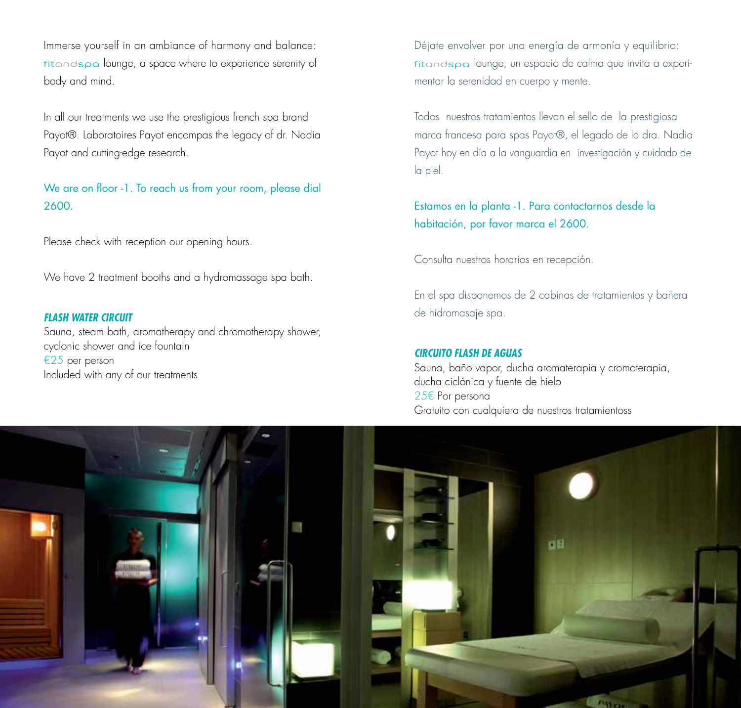Immerse yourself in an ambiance of harmony and balance: fitandspa lounge, a space where to experience serenity of body and mind.

In all our treatments we use the prestigious french spa brand Payot®. Laboratoires Payot encompas the legacy of dr. Nadia Payot and cutting-edge research.

We are on floor -1. To reach us from your room, please dial 2600.

Please check with reception our opening hours.

We have 2 treatment booths and a hydromassage spa bath.

#### *FLASH WATER CIRCUIT*

Sauna, steam bath, aromatherapy and chromotherapy shower, cyclonic shower and ice fountain €25 per person Included with any of our treatments

Déjate envolver por una energía de armonía y equilibrio: fitandspa lounge, un espacio de calma que invita a experimentar la serenidad en cuerpo y mente.

Todos nuestros tratamientos llevan el sello de la prestigiosa marca francesa para spas Payot®, el legado de la dra. Nadia Payot hoy en día a la vanguardia en investigación y cuidado de la piel.

Estamos en la planta -1. Para contactarnos desde la habitación, por favor marca el 2600.

Consulta nuestros horarios en recepción.

En el spa disponemos de 2 cabinas de tratamientos y bañera de hidromasaje spa.

#### *CIRCUITO FLASH DE AGUAS*

Sauna, baño vapor, ducha aromaterapia y cromoterapia, ducha ciclónica y fuente de hielo 25€ Por persona Gratuito con cualquiera de nuestros tratamientoss

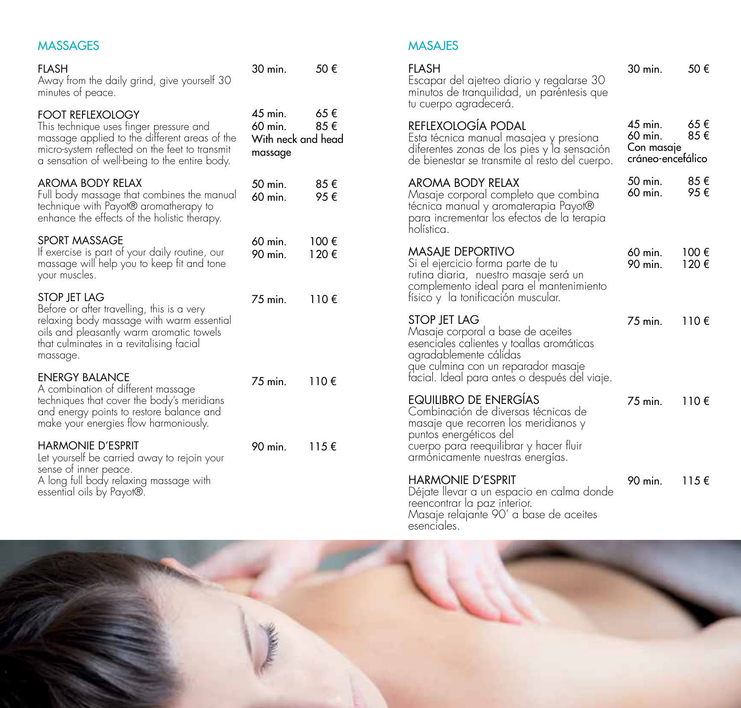# MASSAGES

| FLASH<br>Away from the daily grind, give yourself 30<br>minutes of peace.                                                                                                                                              | 30 min.                                                             | 50€            |
|------------------------------------------------------------------------------------------------------------------------------------------------------------------------------------------------------------------------|---------------------------------------------------------------------|----------------|
| <b>FOOT REFLEXOLOGY</b><br>This technique uses finger pressure and<br>massage applied to the different areas of the<br>micro-system reflected on the feet to transmit<br>a sensation of well-being to the entire body. | 45 min.<br>65€<br>85€<br>$60$ min.<br>With neck and head<br>massage |                |
| <b>AROMA BODY RELAX</b><br>Full body massage that combines the manual<br>technique with Payot® aromatherapy to<br>enhance the effects of the holistic therapy.                                                         | 50 min.<br>60 min.                                                  | 85€<br>95€     |
| SPORT MASSAGE<br>If exercise is part of your daily routine, our<br>massage will help you to keep fit and tone<br>your muscles.                                                                                         | $60$ min.<br>$90$ min.                                              | 100€<br>120€   |
| STOP JET LAG<br>Before or after travelling, this is a very<br>relaxing body massage with warm essential<br>oils and pleasantly warm aromatic towels<br>that culminates in a revitalising facial<br>massage.            | 75 min.                                                             | 110 $\epsilon$ |
| <b>ENERGY BALANCE</b><br>A combination of different massage<br>techniques that cover the body's meridians<br>and energy points to restore balance and<br>make your energies flow harmoniously.                         | 75 min.                                                             | 110€           |
| <b>HARMONIE D'ESPRIT</b><br>Let yourself be carried away to rejoin your<br>sense of inner peace.<br>A long full body relaxing massage with<br>essential oils by Payot®.                                                | 90 min.                                                             | $115 \in$      |

## MASAJES

| FLASH<br>Escapar del ajetreo diario y regalarse 30<br>minutos de tranquilidad, un paréntesis que<br>tu cuerpo agradecerá.                                                                                               | 30 min.                                                 | 50€            |
|-------------------------------------------------------------------------------------------------------------------------------------------------------------------------------------------------------------------------|---------------------------------------------------------|----------------|
| REFLEXOLOGÍA PODAL<br>Esta técnica manual masajea y presiona<br>diferentes zonas de los pies y la sensación<br>de bienestar se transmite al resto del cuerpo.                                                           | $45$ min.<br>60 min.<br>Con masaje<br>cráneo-encefálico | 65€<br>85€     |
| <b>AROMA BODY RELAX</b><br>Masaje corporal completo que combina<br>técnica manual y aromaterapia Payot®<br>para incrementar los efectos de la terapia<br>holística.                                                     | 50 min.<br>60 min.                                      | 85€<br>95€     |
| <b>MASAJE DEPORTIVO</b><br>Si el ejercicio forma parte de tu<br>rutina diaria, nuestro masaje será un<br>complemento ideal para el mantenimiento<br>físico y la tonificación muscular.                                  | 60 min.<br>90 min.                                      | 100€<br>120€   |
| <b>STOP IET LAG</b><br>Masaje corporal a base de aceites<br>esenciales calientes y toallas aromáticas<br>agradablemente cálidas<br>que culmina con un reparador masaje<br>facial. Ideal para antes o después del viaje. | 75 min.                                                 | 110 $\epsilon$ |
| EQUILIBRO DE ENERGÍAS<br>Combinación de diversas técnicas de<br>masaje que recorren los meridianos y<br>puntos energéticos del<br>cuerpo para reequilibrar y hacer fluir<br>armónicamente nuestras energías.            | $75$ min.                                               | 110 $\epsilon$ |
| HARMONIE D'ESPRIT<br>Déjate llevar a un espacio en calma donde<br>reencontrar la paz interior.<br>Masaje relajante 90' a base de aceites                                                                                | 90 min.                                                 | 115 $\epsilon$ |

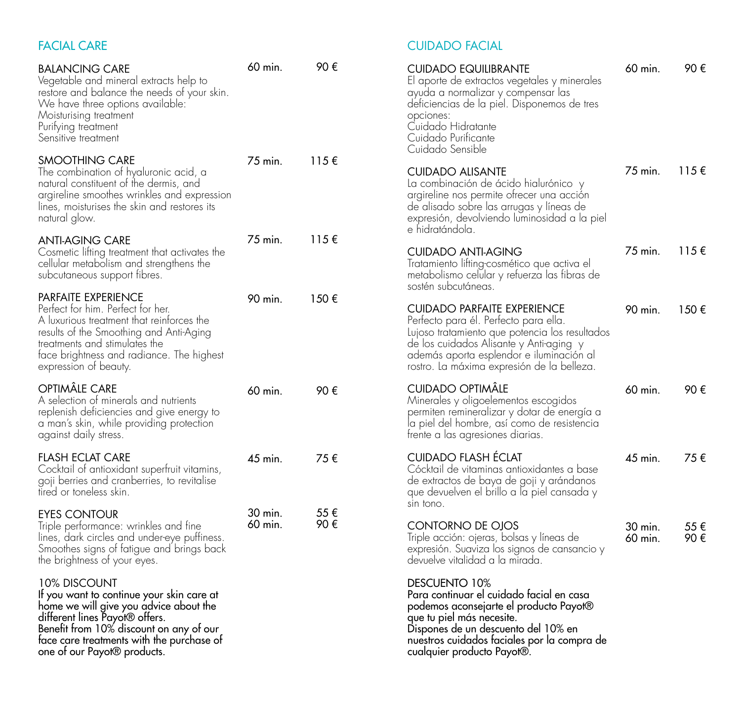# FACIAL CARE

| <b>BALANCING CARE</b><br>Vegetable and mineral extracts help to<br>restore and balance the needs of your skin.<br>We have three options available:<br>Moisturising treatment<br>Purifying treatment<br>Sensitive treatment                                   | 60 min.            | 90 €        |
|--------------------------------------------------------------------------------------------------------------------------------------------------------------------------------------------------------------------------------------------------------------|--------------------|-------------|
| <b>SMOOTHING CARE</b><br>The combination of hyaluronic acid, a<br>natural constituent of the dermis, and<br>argireline smoothes wrinkles and expression<br>lines, moisturises the skin and restores its<br>natural glow.                                     | 75 min.            | 115€        |
| ANTI-AGING CARE<br>Cosmetic lifting treatment that activates the<br>cellular metabolism and strengthens the<br>subcutaneous support fibres.                                                                                                                  | 75 min.            | 115€        |
| PARFAITE EXPERIENCE<br>Perfect for him. Perfect for her.<br>A luxurious treatment that reinforces the<br>results of the Smoothing and Anti-Aging<br>treatments and stimulates the<br>face brightness and radiance. The highest<br>expression of beauty.      | 90 min.            | 150€        |
| OPTIMÄLE CARE<br>A selection of minerals and nutrients<br>replenish deficiencies and give energy to<br>a man's skin, while providing protection<br>against daily stress.                                                                                     | 60 min.            | 90€         |
| <b>FLASH ECLAT CARE</b><br>Cocktail of antioxidant superfruit vitamins,<br>goji berries and cranberries, to revitalise<br>tired or toneless skin.                                                                                                            | 45 min.            | 75 €        |
| EYES CONTOUR<br>Triple performance: wrinkles and fine<br>lines, dark circles and under-eye puffiness.<br>Smoothes signs of fatigue and brings back<br>the brightness of your eyes.                                                                           | 30 min.<br>60 min. | 55 €<br>90€ |
| 10% DISCOUNT<br>If you want to continue your skin care at<br>home we will give you advice about the<br>different lines Payot® offers.<br>Benefit from 10% discount on any of our<br>face care treatments with the purchase of<br>one of our Payot® products. |                    |             |

# CUIDADO FACIAL

| <b>CUIDADO EQUILIBRANTE</b><br>El aporte de extractos vegetales y minerales<br>ayuda a normalizar y compensar las<br>deficiencias de la piel. Disponemos de tres<br>opciones:<br>Cuidado Hidratante<br>Cuidado Purificante<br>Cuidado Sensible                     | 60 min.            | 90 €       |
|--------------------------------------------------------------------------------------------------------------------------------------------------------------------------------------------------------------------------------------------------------------------|--------------------|------------|
| <b>CUIDADO ALISANTE</b><br>La combinación de ácido hialurónico y<br>argireline nos permite ofrecer una acción<br>de alisado sobre las arrugas y líneas de<br>expresión, devolviendo luminosidad a la piel<br>e hidratándola.                                       | 75 min.            | 115€       |
| CUIDADO ANTI-AGING<br>Tratamiento lifting-cosmético que activa el<br>metabolismo celular y refuerza las fibras de<br>sostén subcutáneas.                                                                                                                           | 75 min.            | 115€       |
| <b>CUIDADO PARFAITE EXPERIENCE</b><br>Perfecto para él. Perfecto para ella.<br>Lujoso tratamiento que potencia los resultados<br>de los cuidados Alisante y Anti-aging y<br>además aporta esplendor e iluminación al<br>rostro. La máxima expresión de la belleza. | 90 min.            | 150€       |
| <b>CUIDADO OPTIMÂLE</b><br>Minerales y oligoelementos escogidos<br>permiten remineralizar y dotar de energía a<br>la piel del hombre, así como de resistencia<br>frente a las agresiones diarias.                                                                  | 60 min.            | 90€        |
| <b>CUIDADO FLASH ÉCLAT</b><br>Cócktail de vitaminas antioxidantes a base<br>de extractos de baya de goji y arándanos<br>que devuelven el brillo a la piel cansada y<br>sin tono.                                                                                   | 45 min.            | 75 €       |
| CONTORNO DE OJOS<br>Triple acción: ojeras, bolsas y líneas de<br>expresión. Suaviza los signos de cansancio y<br>devuelve vitalidad a la mirada.                                                                                                                   | 30 min.<br>60 min. | 55€<br>90€ |
| DESCUENTO 10%<br>Para continuar el cuidado facial en casa<br>podemos aconsejarte el producto Payot®<br>que tu piel más necesite.<br>Dispones de un descuento del 10% en<br>nuestros cuidados faciales por la compra de<br>cualquier producto Payot®.               |                    |            |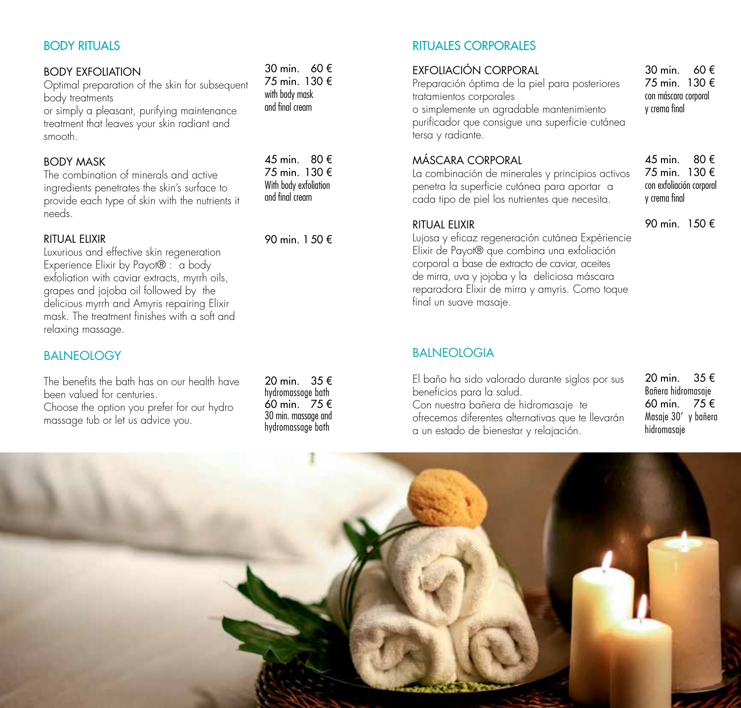## BODY RITUALS

#### BODY EXFOLIATION

Optimal preparation of the skin for subsequent body treatments

or simply a pleasant, purifying maintenance treatment that leaves your skin radiant and smooth.

## BODY MASK

The combination of minerals and active ingredients penetrates the skin's surface to provide each type of skin with the nutrients it needs.

### RITUAL ELIXIR

Luxurious and effective skin regeneration Experience Elixir by Payot® : a body exfoliation with caviar extracts, myrrh oils, grapes and jojoba oil followed by the delicious myrrh and Amyris repairing Elixir mask. The treatment finishes with a soft and relaxing massage.

## **BALNEOLOGY**

The benefits the bath has on our health have been valued for centuries. Choose the option you prefer for our hydro massage tub or let us advice you.

20 min. 35 € hydromassage bath 60 min. 75 € 30 min. massage and hydromassage bath

30 min. 60 € 75 min. 130 € with body mask and final cream

 $45 \text{ min}$  80  $\in$ 75 min. 130 € With body exfoliation and final cream

90 min. 1 50 €

# RITUALES CORPORALES

## EXFOLIACIÓN CORPORAL

Preparación óptima de la piel para posteriores tratamientos corporales o simplemente un agradable mantenimiento purificador que consigue una superficie cutánea tersa y radiante.

# MÁSCARA CORPORAL

La combinación de minerales y principios activos penetra la superficie cutánea para aportar a cada tipo de piel los nutrientes que necesita.

#### RITUAL ELIXIR

Lujosa y eficaz regeneración cutánea Expériencie Elixir de Payot® que combina una exfoliación corporal a base de extracto de caviar, aceites de mirra, uva y jojoba y la deliciosa máscara reparadora Elixir de mirra y amyris. Como toque final un suave masaje.

30 min. 60 € 75 min. 130 € con máscara corporal y crema final

45 min. 80 € 75 min. 130 € con exfoliación corporal y crema final

90 min. 150 €

## **BAINFOLOGIA**

El baño ha sido valorado durante siglos por sus beneficios para la salud. Con nuestra bañera de hidromasaje te ofrecemos diferentes alternativas que te llevarán a un estado de bienestar y relajación.

20 min. 35 € Bañera hidromasaje 60 min. 75 € Masaje 30' y bañera hidromasaje